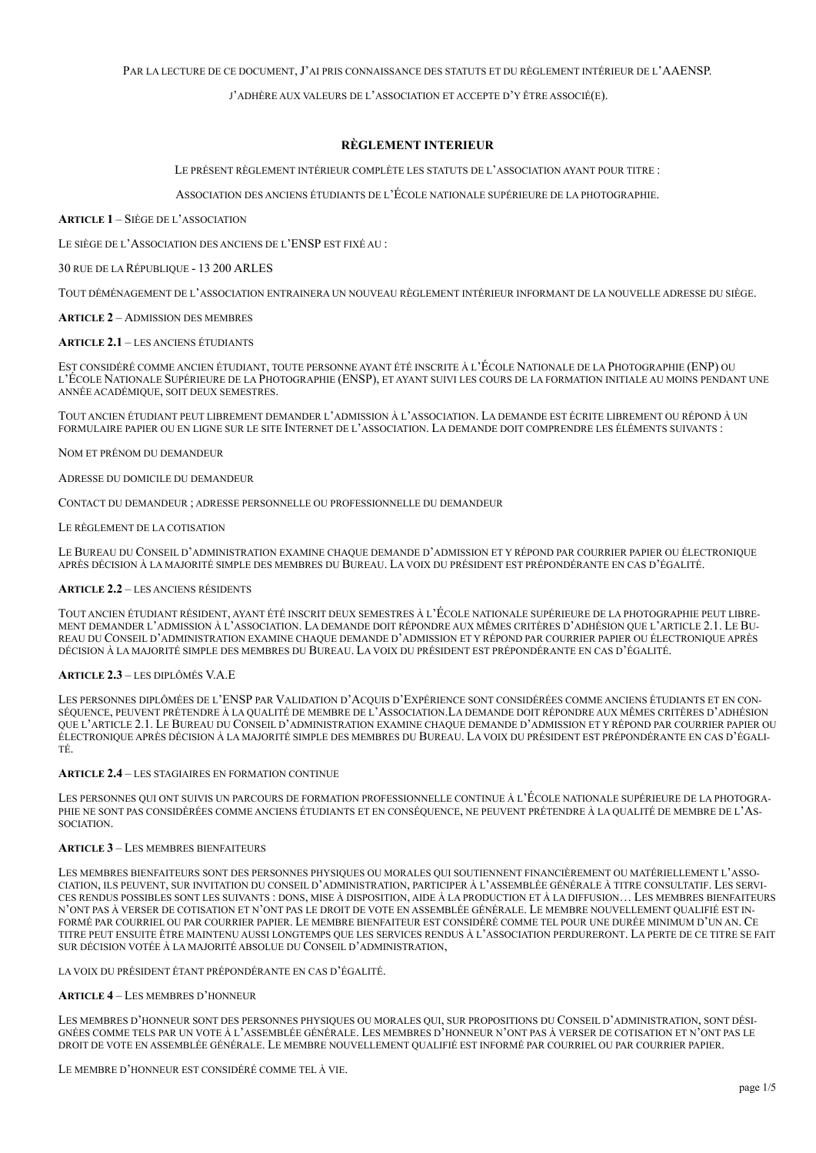### PAR LA LECTURE DE CE DOCUMENT, J'AI PRIS CONNAISSANCE DES STATUTS ET DU RÈGLEMENT INTÉRIEUR DE L'AAENSP.

J'ADHÈRE AUX VALEURS DE L'ASSOCIATION ET ACCEPTE D'Y ÊTRE ASSOCIÉ(E).

## **RÈGLEMENT INTERIEUR**

LE PRÉSENT RÈGLEMENT INTÉRIEUR COMPLÈTE LES STATUTS DE L'ASSOCIATION AYANT POUR TITRE :

ASSOCIATION DES ANCIENS ÉTUDIANTS DE L'ÉCOLE NATIONALE SUPÉRIEURE DE LA PHOTOGRAPHIE.

**ARTICLE 1** – SIÈGE DE L'ASSOCIATION

LE SIÈGE DE L'ASSOCIATION DES ANCIENS DE L'ENSP EST FIXÉ AU :

30 RUE DE LA RÉPUBLIQUE - 13 200 ARLES

TOUT DÉMÉNAGEMENT DE L'ASSOCIATION ENTRAINERA UN NOUVEAU RÈGLEMENT INTÉRIEUR INFORMANT DE LA NOUVELLE ADRESSE DU SIÈGE.

#### **ARTICLE 2** – ADMISSION DES MEMBRES

#### **ARTICLE 2.1** – LES ANCIENS ÉTUDIANTS

EST CONSIDÉRÉ COMME ANCIEN ÉTUDIANT, TOUTE PERSONNE AYANT ÉTÉ INSCRITE À L'ÉCOLE NATIONALE DE LA PHOTOGRAPHIE (ENP) OU L'ÉCOLE NATIONALE SUPÉRIEURE DE LA PHOTOGRAPHIE (ENSP), ET AYANT SUIVI LES COURS DE LA FORMATION INITIALE AU MOINS PENDANT UNE ANNÉE ACADÉMIQUE, SOIT DEUX SEMESTRES.

TOUT ANCIEN ÉTUDIANT PEUT LIBREMENT DEMANDER L'ADMISSION À L'ASSOCIATION. LA DEMANDE EST ÉCRITE LIBREMENT OU RÉPOND À UN FORMULAIRE PAPIER OU EN LIGNE SUR LE SITE INTERNET DE L'ASSOCIATION. LA DEMANDE DOIT COMPRENDRE LES ÉLÉMENTS SUIVANTS :

NOM ET PRÉNOM DU DEMANDEUR

ADRESSE DU DOMICILE DU DEMANDEUR

CONTACT DU DEMANDEUR ; ADRESSE PERSONNELLE OU PROFESSIONNELLE DU DEMANDEUR

#### LE RÈGLEMENT DE LA COTISATION

LE BUREAU DU CONSEIL D'ADMINISTRATION EXAMINE CHAQUE DEMANDE D'ADMISSION ET Y RÉPOND PAR COURRIER PAPIER OU ÉLECTRONIQUE APRÈS DÉCISION À LA MAJORITÉ SIMPLE DES MEMBRES DU BUREAU. LA VOIX DU PRÉSIDENT EST PRÉPONDÉRANTE EN CAS D'ÉGALITÉ.

#### **ARTICLE 2.2** – LES ANCIENS RÉSIDENTS

TOUT ANCIEN ÉTUDIANT RÉSIDENT, AYANT ÉTÉ INSCRIT DEUX SEMESTRES À L'ÉCOLE NATIONALE SUPÉRIEURE DE LA PHOTOGRAPHIE PEUT LIBRE-MENT DEMANDER L'ADMISSION À L'ASSOCIATION. LA DEMANDE DOIT RÉPONDRE AUX MÊMES CRITÈRES D'ADHÉSION QUE L'ARTICLE 2.1. LE BU-REAU DU CONSEIL D'ADMINISTRATION EXAMINE CHAQUE DEMANDE D'ADMISSION ET Y RÉPOND PAR COURRIER PAPIER OU ÉLECTRONIQUE APRÈS DÉCISION À LA MAJORITÉ SIMPLE DES MEMBRES DU BUREAU. LA VOIX DU PRÉSIDENT EST PRÉPONDÉRANTE EN CAS D'ÉGALITÉ.

#### **ARTICLE 2.3** – LES DIPLÔMÉS V.A.E

LES PERSONNES DIPLÔMÉES DE L'ENSP PAR VALIDATION D'ACQUIS D'EXPÉRIENCE SONT CONSIDÉRÉES COMME ANCIENS ÉTUDIANTS ET EN CON-SÉQUENCE, PEUVENT PRÉTENDRE À LA QUALITÉ DE MEMBRE DE L'ASSOCIATION.LA DEMANDE DOIT RÉPONDRE AUX MÊMES CRITÈRES D'ADHÉSION QUE L'ARTICLE 2.1. LE BUREAU DU CONSEIL D'ADMINISTRATION EXAMINE CHAQUE DEMANDE D'ADMISSION ET Y RÉPOND PAR COURRIER PAPIER OU ÉLECTRONIQUE APRÈS DÉCISION À LA MAJORITÉ SIMPLE DES MEMBRES DU BUREAU. LA VOIX DU PRÉSIDENT EST PRÉPONDÉRANTE EN CAS D'ÉGALI-TÉ.

#### **ARTICLE 2.4** – LES STAGIAIRES EN FORMATION CONTINUE

LES PERSONNES QUI ONT SUIVIS UN PARCOURS DE FORMATION PROFESSIONNELLE CONTINUE À L'ÉCOLE NATIONALE SUPÉRIEURE DE LA PHOTOGRA-PHIE NE SONT PAS CONSIDÉRÉES COMME ANCIENS ÉTUDIANTS ET EN CONSÉQUENCE, NE PEUVENT PRÉTENDRE À LA QUALITÉ DE MEMBRE DE L'AS-SOCIATION.

#### **ARTICLE 3** – LES MEMBRES BIENFAITEURS

LES MEMBRES BIENFAITEURS SONT DES PERSONNES PHYSIQUES OU MORALES QUI SOUTIENNENT FINANCIÈREMENT OU MATÉRIELLEMENT L'ASSO-CIATION, ILS PEUVENT, SUR INVITATION DU CONSEIL D'ADMINISTRATION, PARTICIPER À L'ASSEMBLÉE GÉNÉRALE À TITRE CONSULTATIF. LES SERVI-CES RENDUS POSSIBLES SONT LES SUIVANTS : DONS, MISE À DISPOSITION, AIDE À LA PRODUCTION ET À LA DIFFUSION… LES MEMBRES BIENFAITEURS N'ONT PAS À VERSER DE COTISATION ET N'ONT PAS LE DROIT DE VOTE EN ASSEMBLÉE GÉNÉRALE. LE MEMBRE NOUVELLEMENT QUALIFIÉ EST IN-FORMÉ PAR COURRIEL OU PAR COURRIER PAPIER. LE MEMBRE BIENFAITEUR EST CONSIDÉRÉ COMME TEL POUR UNE DURÉE MINIMUM D'UN AN. CE TITRE PEUT ENSUITE ÊTRE MAINTENU AUSSI LONGTEMPS QUE LES SERVICES RENDUS À L'ASSOCIATION PERDURERONT. LA PERTE DE CE TITRE SE FAIT SUR DÉCISION VOTÉE À LA MAJORITÉ ABSOLUE DU CONSEIL D'ADMINISTRATION,

LA VOIX DU PRÉSIDENT ÉTANT PRÉPONDÉRANTE EN CAS D'ÉGALITÉ.

### **ARTICLE 4** – LES MEMBRES D'HONNEUR

LES MEMBRES D'HONNEUR SONT DES PERSONNES PHYSIQUES OU MORALES QUI, SUR PROPOSITIONS DU CONSEIL D'ADMINISTRATION, SONT DÉSI-GNÉES COMME TELS PAR UN VOTE À L'ASSEMBLÉE GÉNÉRALE. LES MEMBRES D'HONNEUR N'ONT PAS À VERSER DE COTISATION ET N'ONT PAS LE DROIT DE VOTE EN ASSEMBLÉE GÉNÉRALE. LE MEMBRE NOUVELLEMENT QUALIFIÉ EST INFORMÉ PAR COURRIEL OU PAR COURRIER PAPIER.

LE MEMBRE D'HONNEUR EST CONSIDÉRÉ COMME TEL À VIE.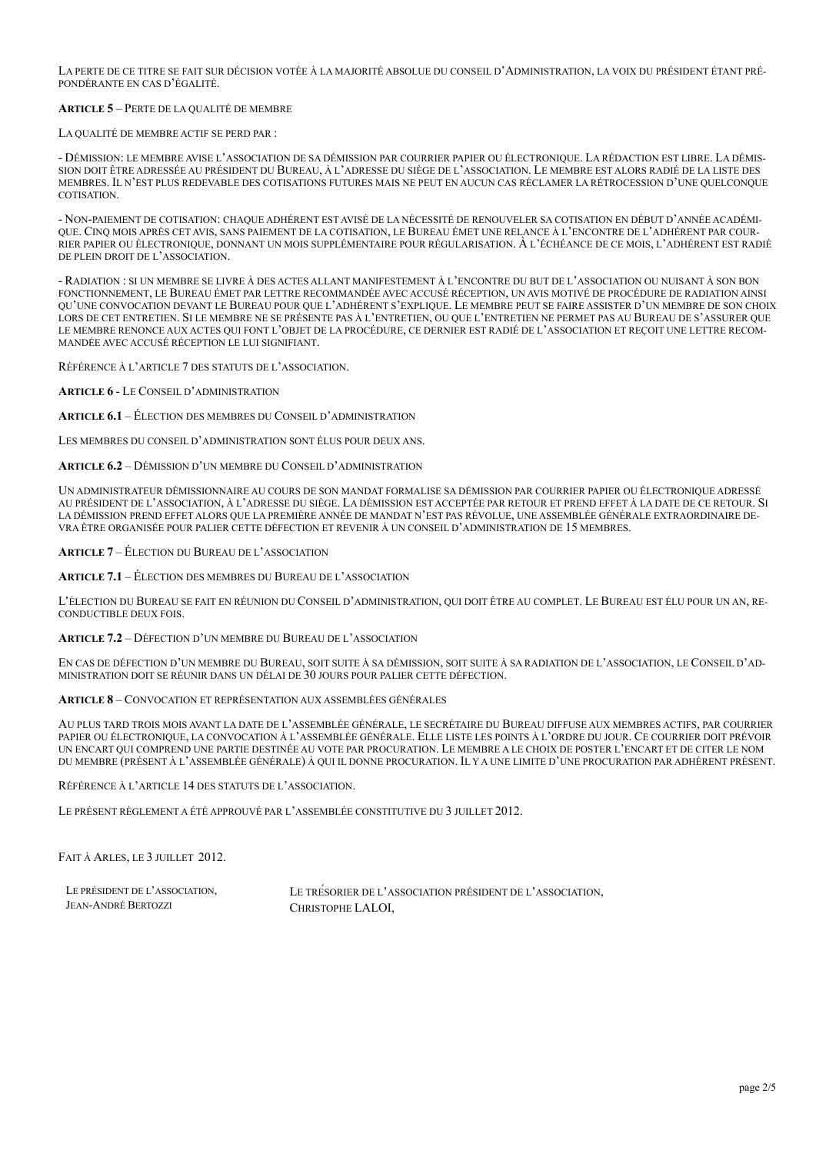LA PERTE DE CE TITRE SE FAIT SUR DÉCISION VOTÉE À LA MAJORITÉ ABSOLUE DU CONSEIL D'ADMINISTRATION, LA VOIX DU PRÉSIDENT ÉTANT PRÉ-PONDÉRANTE EN CAS D'ÉGALITÉ.

# **ARTICLE 5** – PERTE DE LA QUALITÉ DE MEMBRE

LA QUALITÉ DE MEMBRE ACTIF SE PERD PAR :

- DÉMISSION: LE MEMBRE AVISE L'ASSOCIATION DE SA DÉMISSION PAR COURRIER PAPIER OU ÉLECTRONIQUE. LA RÉDACTION EST LIBRE. LA DÉMIS-SION DOIT ÊTRE ADRESSÉE AU PRÉSIDENT DU BUREAU, À L'ADRESSE DU SIÈGE DE L'ASSOCIATION. LE MEMBRE EST ALORS RADIÉ DE LA LISTE DES MEMBRES. IL N'EST PLUS REDEVABLE DES COTISATIONS FUTURES MAIS NE PEUT EN AUCUN CAS RÉCLAMER LA RÉTROCESSION D'UNE QUELCONQUE **COTISATION** 

- NON-PAIEMENT DE COTISATION: CHAQUE ADHÉRENT EST AVISÉ DE LA NÉCESSITÉ DE RENOUVELER SA COTISATION EN DÉBUT D'ANNÉE ACADÉMI-QUE. CINQ MOIS APRÈS CET AVIS, SANS PAIEMENT DE LA COTISATION, LE BUREAU ÉMET UNE RELANCE À L'ENCONTRE DE L'ADHÉRENT PAR COUR-RIER PAPIER OU ÉLECTRONIQUE, DONNANT UN MOIS SUPPLÉMENTAIRE POUR RÉGULARISATION. À L'ÉCHÉANCE DE CE MOIS, L'ADHÉRENT EST RADIÉ DE PLEIN DROIT DE L'ASSOCIATION.

- RADIATION : SI UN MEMBRE SE LIVRE À DES ACTES ALLANT MANIFESTEMENT À L'ENCONTRE DU BUT DE L'ASSOCIATION OU NUISANT À SON BON FONCTIONNEMENT, LE BUREAU ÉMET PAR LETTRE RECOMMANDÉE AVEC ACCUSÉ RÉCEPTION, UN AVIS MOTIVÉ DE PROCÉDURE DE RADIATION AINSI QU'UNE CONVOCATION DEVANT LE BUREAU POUR QUE L'ADHÉRENT S'EXPLIQUE. LE MEMBRE PEUT SE FAIRE ASSISTER D'UN MEMBRE DE SON CHOIX LORS DE CET ENTRETIEN. SI LE MEMBRE NE SE PRÉSENTE PAS À L'ENTRETIEN, OU QUE L'ENTRETIEN NE PERMET PAS AU BUREAU DE S'ASSURER QUE LE MEMBRE RENONCE AUX ACTES QUI FONT L'OBJET DE LA PROCÉDURE, CE DERNIER EST RADIÉ DE L'ASSOCIATION ET REÇOIT UNE LETTRE RECOM-MANDÉE AVEC ACCUSÉ RÉCEPTION LE LUI SIGNIFIANT.

RÉFÉRENCE À L'ARTICLE 7 DES STATUTS DE L'ASSOCIATION.

**ARTICLE 6** - LE CONSEIL D'ADMINISTRATION

**ARTICLE 6.1** – ÉLECTION DES MEMBRES DU CONSEIL D'ADMINISTRATION

LES MEMBRES DU CONSEIL D'ADMINISTRATION SONT ÉLUS POUR DEUX ANS.

**ARTICLE 6.2** – DÉMISSION D'UN MEMBRE DU CONSEIL D'ADMINISTRATION

UN ADMINISTRATEUR DÉMISSIONNAIRE AU COURS DE SON MANDAT FORMALISE SA DÉMISSION PAR COURRIER PAPIER OU ÉLECTRONIQUE ADRESSÉ AU PRÉSIDENT DE L'ASSOCIATION, À L'ADRESSE DU SIÈGE. LA DÉMISSION EST ACCEPTÉE PAR RETOUR ET PREND EFFET À LA DATE DE CE RETOUR. SI LA DÉMISSION PREND EFFET ALORS QUE LA PREMIÈRE ANNÉE DE MANDAT N'EST PAS RÉVOLUE, UNE ASSEMBLÉE GÉNÉRALE EXTRAORDINAIRE DE-VRA ÊTRE ORGANISÉE POUR PALIER CETTE DÉFECTION ET REVENIR À UN CONSEIL D'ADMINISTRATION DE 15 MEMBRES.

**ARTICLE 7** – ÉLECTION DU BUREAU DE L'ASSOCIATION

**ARTICLE 7.1** – ÉLECTION DES MEMBRES DU BUREAU DE L'ASSOCIATION

L'ÉLECTION DU BUREAU SE FAIT EN RÉUNION DU CONSEIL D'ADMINISTRATION, QUI DOIT ÊTRE AU COMPLET. LE BUREAU EST ÉLU POUR UN AN, RE-CONDUCTIBLE DEUX FOIS.

**ARTICLE 7.2** – DÉFECTION D'UN MEMBRE DU BUREAU DE L'ASSOCIATION

EN CAS DE DÉFECTION D'UN MEMBRE DU BUREAU, SOIT SUITE À SA DÉMISSION, SOIT SUITE À SA RADIATION DE L'ASSOCIATION, LE CONSEIL D'AD-MINISTRATION DOIT SE RÉUNIR DANS UN DÉLAI DE 30 JOURS POUR PALIER CETTE DÉFECTION.

**ARTICLE 8** – CONVOCATION ET REPRÉSENTATION AUX ASSEMBLÉES GÉNÉRALES

AU PLUS TARD TROIS MOIS AVANT LA DATE DE L'ASSEMBLÉE GÉNÉRALE, LE SECRÉTAIRE DU BUREAU DIFFUSE AUX MEMBRES ACTIFS, PAR COURRIER PAPIER OU ÉLECTRONIQUE, LA CONVOCATION À L'ASSEMBLÉE GÉNÉRALE. ELLE LISTE LES POINTS À L'ORDRE DU JOUR. CE COURRIER DOIT PRÉVOIR UN ENCART QUI COMPREND UNE PARTIE DESTINÉE AU VOTE PAR PROCURATION. LE MEMBRE A LE CHOIX DE POSTER L'ENCART ET DE CITER LE NOM DU MEMBRE (PRÉSENT À L'ASSEMBLÉE GÉNÉRALE) À QUI IL DONNE PROCURATION. IL Y A UNE LIMITE D'UNE PROCURATION PAR ADHÉRENT PRÉSENT.

RÉFÉRENCE À L'ARTICLE 14 DES STATUTS DE L'ASSOCIATION.

LE PRÉSENT RÈGLEMENT A ÉTÉ APPROUVÉ PAR L'ASSEMBLÉE CONSTITUTIVE DU 3 JUILLET 2012.

FAIT À ARLES, LE 3 JUILLET 2012.

| LE PRÉSIDENT DE L'ASSOCIATION, | LE TRESORIER DE L'ASSOCIATION PRÉSIDENT DE L'ASSOCIATION. |
|--------------------------------|-----------------------------------------------------------|
| JEAN-ANDRÉ BERTOZZI            | CHRISTOPHE LALOI.                                         |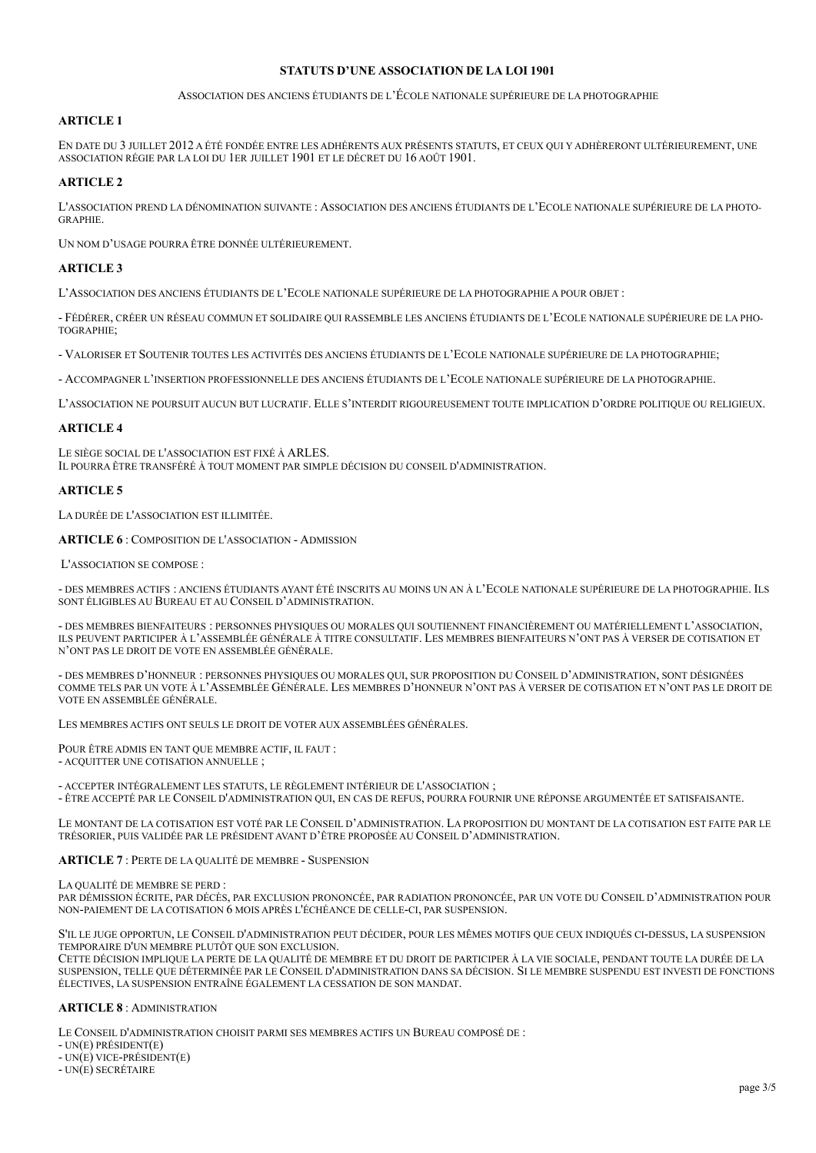# **STATUTS D'UNE ASSOCIATION DE LA LOI 1901**

### ASSOCIATION DES ANCIENS ÉTUDIANTS DE L'ÉCOLE NATIONALE SUPÉRIEURE DE LA PHOTOGRAPHIE

# **ARTICLE 1**

EN DATE DU 3 JUILLET 2012 A ÉTÉ FONDÉE ENTRE LES ADHÉRENTS AUX PRÉSENTS STATUTS, ET CEUX QUI Y ADHÈRERONT ULTÉRIEUREMENT, UNE ASSOCIATION RÉGIE PAR LA LOI DU 1ER JUILLET 1901 ET LE DÉCRET DU 16 AOÛT 1901.

# **ARTICLE 2**

L'ASSOCIATION PREND LA DÉNOMINATION SUIVANTE : ASSOCIATION DES ANCIENS ÉTUDIANTS DE L'ECOLE NATIONALE SUPÉRIEURE DE LA PHOTO-GRAPHIE.

UN NOM D'USAGE POURRA ÊTRE DONNÉE ULTÉRIEUREMENT.

# **ARTICLE 3**

L'ASSOCIATION DES ANCIENS ÉTUDIANTS DE L'ECOLE NATIONALE SUPÉRIEURE DE LA PHOTOGRAPHIE A POUR OBJET :

- FÉDÉRER, CRÉER UN RÉSEAU COMMUN ET SOLIDAIRE QUI RASSEMBLE LES ANCIENS ÉTUDIANTS DE L'ECOLE NATIONALE SUPÉRIEURE DE LA PHO-TOGRAPHIE;

- VALORISER ET SOUTENIR TOUTES LES ACTIVITÉS DES ANCIENS ÉTUDIANTS DE L'ECOLE NATIONALE SUPÉRIEURE DE LA PHOTOGRAPHIE;

- ACCOMPAGNER L'INSERTION PROFESSIONNELLE DES ANCIENS ÉTUDIANTS DE L'ECOLE NATIONALE SUPÉRIEURE DE LA PHOTOGRAPHIE.

L'ASSOCIATION NE POURSUIT AUCUN BUT LUCRATIF. ELLE S'INTERDIT RIGOUREUSEMENT TOUTE IMPLICATION D'ORDRE POLITIQUE OU RELIGIEUX.

## **ARTICLE 4**

LE SIÈGE SOCIAL DE L'ASSOCIATION EST FIXÉ À ARLES. IL POURRA ÊTRE TRANSFÉRÉ À TOUT MOMENT PAR SIMPLE DÉCISION DU CONSEIL D'ADMINISTRATION.

# **ARTICLE 5**

LA DURÉE DE L'ASSOCIATION EST ILLIMITÉE.

**ARTICLE 6** : COMPOSITION DE L'ASSOCIATION - ADMISSION

L'ASSOCIATION SE COMPOSE :

- DES MEMBRES ACTIFS : ANCIENS ÉTUDIANTS AYANT ÉTÉ INSCRITS AU MOINS UN AN À L'ECOLE NATIONALE SUPÉRIEURE DE LA PHOTOGRAPHIE. ILS SONT ÉLIGIBLES AU BUREAU ET AU CONSEIL D'ADMINISTRATION.

- DES MEMBRES BIENFAITEURS : PERSONNES PHYSIQUES OU MORALES QUI SOUTIENNENT FINANCIÈREMENT OU MATÉRIELLEMENT L'ASSOCIATION, ILS PEUVENT PARTICIPER À L'ASSEMBLÉE GÉNÉRALE À TITRE CONSULTATIF. LES MEMBRES BIENFAITEURS N'ONT PAS À VERSER DE COTISATION ET N'ONT PAS LE DROIT DE VOTE EN ASSEMBLÉE GÉNÉRALE.

- DES MEMBRES D'HONNEUR : PERSONNES PHYSIQUES OU MORALES QUI, SUR PROPOSITION DU CONSEIL D'ADMINISTRATION, SONT DÉSIGNÉES COMME TELS PAR UN VOTE À L'ASSEMBLÉE GÉNÉRALE. LES MEMBRES D'HONNEUR N'ONT PAS À VERSER DE COTISATION ET N'ONT PAS LE DROIT DE VOTE EN ASSEMBLÉE GÉNÉRALE.

LES MEMBRES ACTIFS ONT SEULS LE DROIT DE VOTER AUX ASSEMBLÉES GÉNÉRALES.

POUR ÊTRE ADMIS EN TANT QUE MEMBRE ACTIF, IL FAUT : - ACQUITTER UNE COTISATION ANNUELLE ;

- ACCEPTER INTÉGRALEMENT LES STATUTS, LE RÈGLEMENT INTÉRIEUR DE L'ASSOCIATION ; - ÊTRE ACCEPTÉ PAR LE CONSEIL D'ADMINISTRATION QUI, EN CAS DE REFUS, POURRA FOURNIR UNE RÉPONSE ARGUMENTÉE ET SATISFAISANTE.

LE MONTANT DE LA COTISATION EST VOTÉ PAR LE CONSEIL D'ADMINISTRATION. LA PROPOSITION DU MONTANT DE LA COTISATION EST FAITE PAR LE TRÉSORIER, PUIS VALIDÉE PAR LE PRÉSIDENT AVANT D'ÊTRE PROPOSÉE AU CONSEIL D'ADMINISTRATION.

**ARTICLE 7** : PERTE DE LA QUALITÉ DE MEMBRE - SUSPENSION

LA QUALITÉ DE MEMBRE SE PERD :

PAR DÉMISSION ÉCRITE, PAR DÉCÈS, PAR EXCLUSION PRONONCÉE, PAR RADIATION PRONONCÉE, PAR UN VOTE DU CONSEIL D'ADMINISTRATION POUR NON-PAIEMENT DE LA COTISATION 6 MOIS APRÈS L'ÉCHÉANCE DE CELLE-CI, PAR SUSPENSION.

S'IL LE JUGE OPPORTUN, LE CONSEIL D'ADMINISTRATION PEUT DÉCIDER, POUR LES MÊMES MOTIFS QUE CEUX INDIQUÉS CI-DESSUS, LA SUSPENSION TEMPORAIRE D'UN MEMBRE PLUTÔT QUE SON EXCLUSION.

CETTE DÉCISION IMPLIQUE LA PERTE DE LA QUALITÉ DE MEMBRE ET DU DROIT DE PARTICIPER À LA VIE SOCIALE, PENDANT TOUTE LA DURÉE DE LA SUSPENSION, TELLE QUE DÉTERMINÉE PAR LE CONSEIL D'ADMINISTRATION DANS SA DÉCISION. SI LE MEMBRE SUSPENDU EST INVESTI DE FONCTIONS ÉLECTIVES, LA SUSPENSION ENTRAÎNE ÉGALEMENT LA CESSATION DE SON MANDAT.

### **ARTICLE 8** : ADMINISTRATION

LE CONSEIL D'ADMINISTRATION CHOISIT PARMI SES MEMBRES ACTIFS UN BUREAU COMPOSÉ DE :

- UN(E) PRÉSIDENT(E)

- UN(E) VICE-PRÉSIDENT(E)

- UN(E) SECRÉTAIRE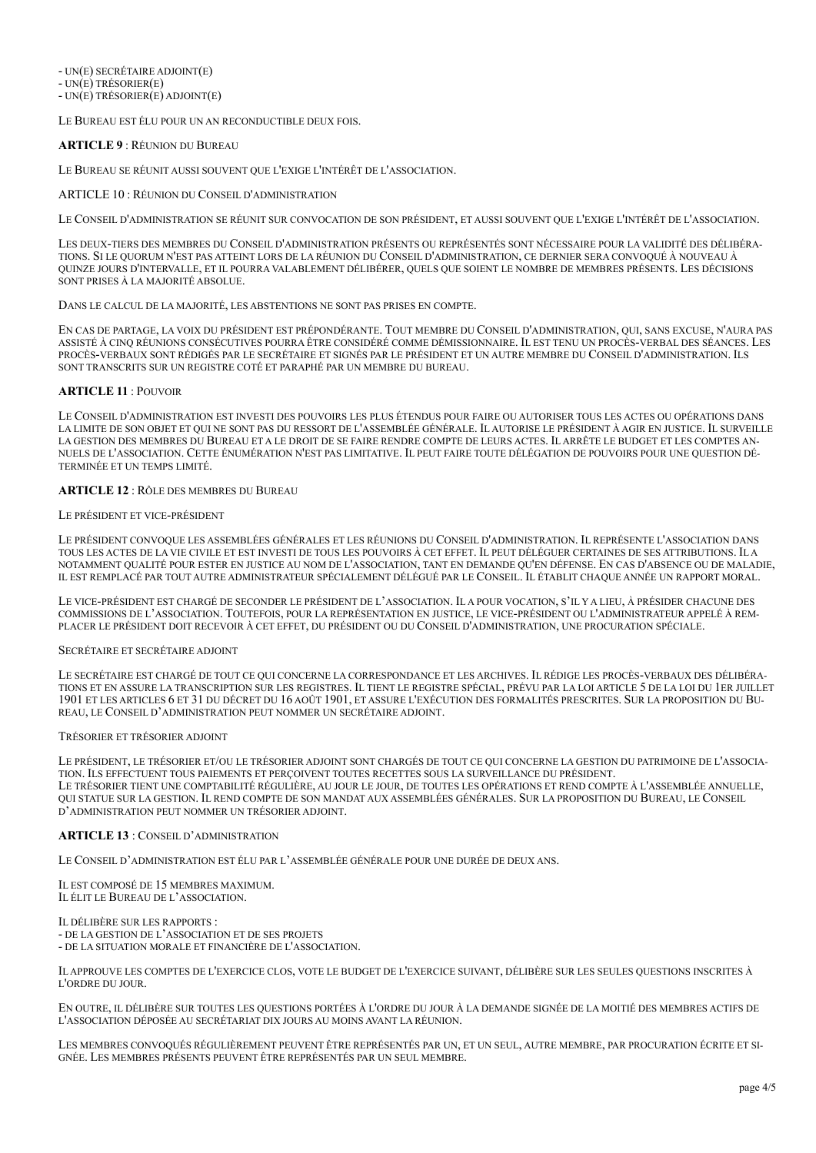- UN(E) SECRÉTAIRE ADJOINT(E) - UN(E) TRÉSORIER(E)

 $-$  UN $(E)$  TRÉSORIER $(E)$  ADJOINT $(E)$ 

LE BUREAU EST ÉLU POUR UN AN RECONDUCTIBLE DEUX FOIS.

## **ARTICLE 9** : RÉUNION DU BUREAU

LE BUREAU SE RÉUNIT AUSSI SOUVENT QUE L'EXIGE L'INTÉRÊT DE L'ASSOCIATION.

#### ARTICLE 10 : RÉUNION DU CONSEIL D'ADMINISTRATION

LE CONSEIL D'ADMINISTRATION SE RÉUNIT SUR CONVOCATION DE SON PRÉSIDENT, ET AUSSI SOUVENT QUE L'EXIGE L'INTÉRÊT DE L'ASSOCIATION.

LES DEUX-TIERS DES MEMBRES DU CONSEIL D'ADMINISTRATION PRÉSENTS OU REPRÉSENTÉS SONT NÉCESSAIRE POUR LA VALIDITÉ DES DÉLIBÉRA-TIONS. SI LE QUORUM N'EST PAS ATTEINT LORS DE LA RÉUNION DU CONSEIL D'ADMINISTRATION, CE DERNIER SERA CONVOQUÉ À NOUVEAU À QUINZE JOURS D'INTERVALLE, ET IL POURRA VALABLEMENT DÉLIBÉRER, QUELS QUE SOIENT LE NOMBRE DE MEMBRES PRÉSENTS. LES DÉCISIONS SONT PRISES À LA MAJORITÉ ABSOLUE.

#### DANS LE CALCUL DE LA MAJORITÉ, LES ABSTENTIONS NE SONT PAS PRISES EN COMPTE.

EN CAS DE PARTAGE, LA VOIX DU PRÉSIDENT EST PRÉPONDÉRANTE. TOUT MEMBRE DU CONSEIL D'ADMINISTRATION, QUI, SANS EXCUSE, N'AURA PAS ASSISTÉ À CINQ RÉUNIONS CONSÉCUTIVES POURRA ÊTRE CONSIDÉRÉ COMME DÉMISSIONNAIRE. IL EST TENU UN PROCÈS-VERBAL DES SÉANCES. LES PROCÈS-VERBAUX SONT RÉDIGÉS PAR LE SECRÉTAIRE ET SIGNÉS PAR LE PRÉSIDENT ET UN AUTRE MEMBRE DU CONSEIL D'ADMINISTRATION. ILS SONT TRANSCRITS SUR UN REGISTRE COTÉ ET PARAPHÉ PAR UN MEMBRE DU BUREAU.

#### **ARTICLE 11** : POUVOIR

LE CONSEIL D'ADMINISTRATION EST INVESTI DES POUVOIRS LES PLUS ÉTENDUS POUR FAIRE OU AUTORISER TOUS LES ACTES OU OPÉRATIONS DANS LA LIMITE DE SON OBJET ET QUI NE SONT PAS DU RESSORT DE L'ASSEMBLÉE GÉNÉRALE. IL AUTORISE LE PRÉSIDENT À AGIR EN JUSTICE. IL SURVEILLE LA GESTION DES MEMBRES DU BUREAU ET A LE DROIT DE SE FAIRE RENDRE COMPTE DE LEURS ACTES. IL ARRÊTE LE BUDGET ET LES COMPTES AN-NUELS DE L'ASSOCIATION. CETTE ÉNUMÉRATION N'EST PAS LIMITATIVE. IL PEUT FAIRE TOUTE DÉLÉGATION DE POUVOIRS POUR UNE QUESTION DÉ-TERMINÉE ET UN TEMPS LIMITÉ.

### **ARTICLE 12** : RÔLE DES MEMBRES DU BUREAU

### LE PRÉSIDENT ET VICE-PRÉSIDENT

LE PRÉSIDENT CONVOQUE LES ASSEMBLÉES GÉNÉRALES ET LES RÉUNIONS DU CONSEIL D'ADMINISTRATION. IL REPRÉSENTE L'ASSOCIATION DANS TOUS LES ACTES DE LA VIE CIVILE ET EST INVESTI DE TOUS LES POUVOIRS À CET EFFET. IL PEUT DÉLÉGUER CERTAINES DE SES ATTRIBUTIONS. IL A NOTAMMENT QUALITÉ POUR ESTER EN JUSTICE AU NOM DE L'ASSOCIATION, TANT EN DEMANDE QU'EN DÉFENSE. EN CAS D'ABSENCE OU DE MALADIE, IL EST REMPLACÉ PAR TOUT AUTRE ADMINISTRATEUR SPÉCIALEMENT DÉLÉGUÉ PAR LE CONSEIL. IL ÉTABLIT CHAQUE ANNÉE UN RAPPORT MORAL.

LE VICE-PRÉSIDENT EST CHARGÉ DE SECONDER LE PRÉSIDENT DE L'ASSOCIATION. IL A POUR VOCATION, S'IL Y A LIEU, À PRÉSIDER CHACUNE DES COMMISSIONS DE L'ASSOCIATION. TOUTEFOIS, POUR LA REPRÉSENTATION EN JUSTICE, LE VICE-PRÉSIDENT OU L'ADMINISTRATEUR APPELÉ À REM-PLACER LE PRÉSIDENT DOIT RECEVOIR À CET EFFET, DU PRÉSIDENT OU DU CONSEIL D'ADMINISTRATION, UNE PROCURATION SPÉCIALE.

#### SECRÉTAIRE ET SECRÉTAIRE ADJOINT

LE SECRÉTAIRE EST CHARGÉ DE TOUT CE QUI CONCERNE LA CORRESPONDANCE ET LES ARCHIVES. IL RÉDIGE LES PROCÈS-VERBAUX DES DÉLIBÉRA-TIONS ET EN ASSURE LA TRANSCRIPTION SUR LES REGISTRES. IL TIENT LE REGISTRE SPÉCIAL, PRÉVU PAR LA LOI ARTICLE 5 DE LA LOI DU 1ER JUILLET 1901 ET LES ARTICLES 6 ET 31 DU DÉCRET DU 16 AOÛT 1901, ET ASSURE L'EXÉCUTION DES FORMALITÉS PRESCRITES. SUR LA PROPOSITION DU BU-REAU, LE CONSEIL D'ADMINISTRATION PEUT NOMMER UN SECRÉTAIRE ADJOINT.

#### TRÉSORIER ET TRÉSORIER ADJOINT

LE PRÉSIDENT, LE TRÉSORIER ET/OU LE TRÉSORIER ADJOINT SONT CHARGÉS DE TOUT CE QUI CONCERNE LA GESTION DU PATRIMOINE DE L'ASSOCIA-TION. ILS EFFECTUENT TOUS PAIEMENTS ET PERÇOIVENT TOUTES RECETTES SOUS LA SURVEILLANCE DU PRÉSIDENT. LE TRÉSORIER TIENT UNE COMPTABILITÉ RÉGULIÈRE, AU JOUR LE JOUR, DE TOUTES LES OPÉRATIONS ET REND COMPTE À L'ASSEMBLÉE ANNUELLE, QUI STATUE SUR LA GESTION. IL REND COMPTE DE SON MANDAT AUX ASSEMBLÉES GÉNÉRALES. SUR LA PROPOSITION DU BUREAU, LE CONSEIL D'ADMINISTRATION PEUT NOMMER UN TRÉSORIER ADJOINT.

### **ARTICLE 13** : CONSEIL D'ADMINISTRATION

LE CONSEIL D'ADMINISTRATION EST ÉLU PAR L'ASSEMBLÉE GÉNÉRALE POUR UNE DURÉE DE DEUX ANS.

IL EST COMPOSÉ DE 15 MEMBRES MAXIMUM. IL ÉLIT LE BUREAU DE L'ASSOCIATION.

IL DÉLIBÈRE SUR LES RAPPORTS : - DE LA GESTION DE L'ASSOCIATION ET DE SES PROJETS - DE LA SITUATION MORALE ET FINANCIÈRE DE L'ASSOCIATION.

IL APPROUVE LES COMPTES DE L'EXERCICE CLOS, VOTE LE BUDGET DE L'EXERCICE SUIVANT, DÉLIBÈRE SUR LES SEULES QUESTIONS INSCRITES À L'ORDRE DU JOUR.

EN OUTRE, IL DÉLIBÈRE SUR TOUTES LES QUESTIONS PORTÉES À L'ORDRE DU JOUR À LA DEMANDE SIGNÉE DE LA MOITIÉ DES MEMBRES ACTIFS DE L'ASSOCIATION DÉPOSÉE AU SECRÉTARIAT DIX JOURS AU MOINS AVANT LA RÉUNION.

LES MEMBRES CONVOQUÉS RÉGULIÈREMENT PEUVENT ÊTRE REPRÉSENTÉS PAR UN, ET UN SEUL, AUTRE MEMBRE, PAR PROCURATION ÉCRITE ET SI-GNÉE. LES MEMBRES PRÉSENTS PEUVENT ÊTRE REPRÉSENTÉS PAR UN SEUL MEMBRE.